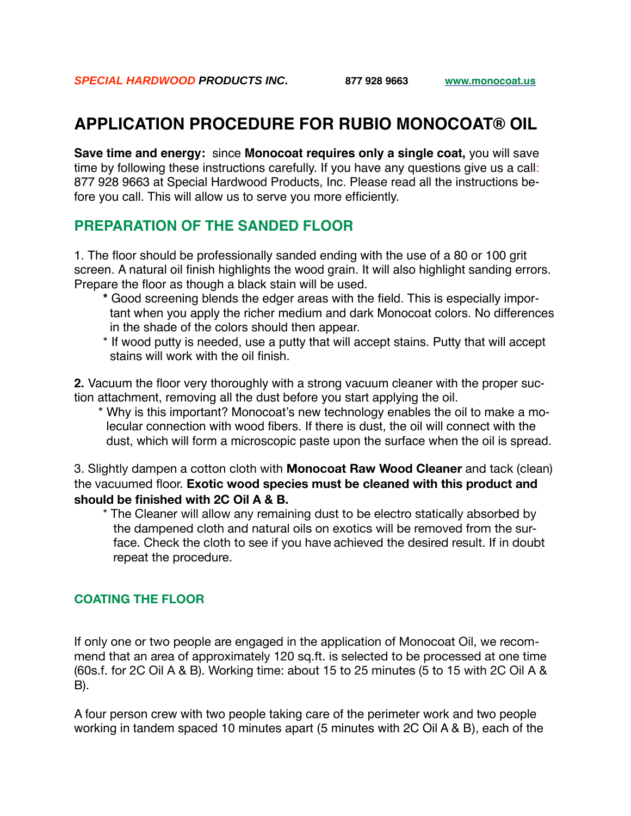# **APPLICATION PROCEDURE FOR RUBIO MONOCOAT® OIL**

**Save time and energy:** since **Monocoat requires only a single coat,** you will save time by following these instructions carefully. If you have any questions give us a call: 877 928 9663 at Special Hardwood Products, Inc. Please read all the instructions before you call. This will allow us to serve you more efficiently.

# **PREPARATION OF THE SANDED FLOOR**

1. The floor should be professionally sanded ending with the use of a 80 or 100 grit screen. A natural oil finish highlights the wood grain. It will also highlight sanding errors. Prepare the floor as though a black stain will be used.

- **\*** Good screening blends the edger areas with the field. This is especially impor tant when you apply the richer medium and dark Monocoat colors. No differences in the shade of the colors should then appear.
- \* If wood putty is needed, use a putty that will accept stains. Putty that will accept stains will work with the oil finish.

**2.** Vacuum the floor very thoroughly with a strong vacuum cleaner with the proper suction attachment, removing all the dust before you start applying the oil.

\* Why is this important? Monocoat's new technology enables the oil to make a mo lecular connection with wood fibers. If there is dust, the oil will connect with the dust, which will form a microscopic paste upon the surface when the oil is spread.

3. Slightly dampen a cotton cloth with **Monocoat Raw Wood Cleaner** and tack (clean) the vacuumed floor. **Exotic wood species must be cleaned with this product and should be finished with 2C Oil A & B.**

\* The Cleaner will allow any remaining dust to be electro statically absorbed by the dampened cloth and natural oils on exotics will be removed from the sur face. Check the cloth to see if you have achieved the desired result. If in doubt repeat the procedure.

## **COATING THE FLOOR**

If only one or two people are engaged in the application of Monocoat Oil, we recommend that an area of approximately 120 sq.ft. is selected to be processed at one time (60s.f. for 2C Oil A & B). Working time: about 15 to 25 minutes (5 to 15 with 2C Oil A & B).

A four person crew with two people taking care of the perimeter work and two people working in tandem spaced 10 minutes apart (5 minutes with 2C Oil A & B), each of the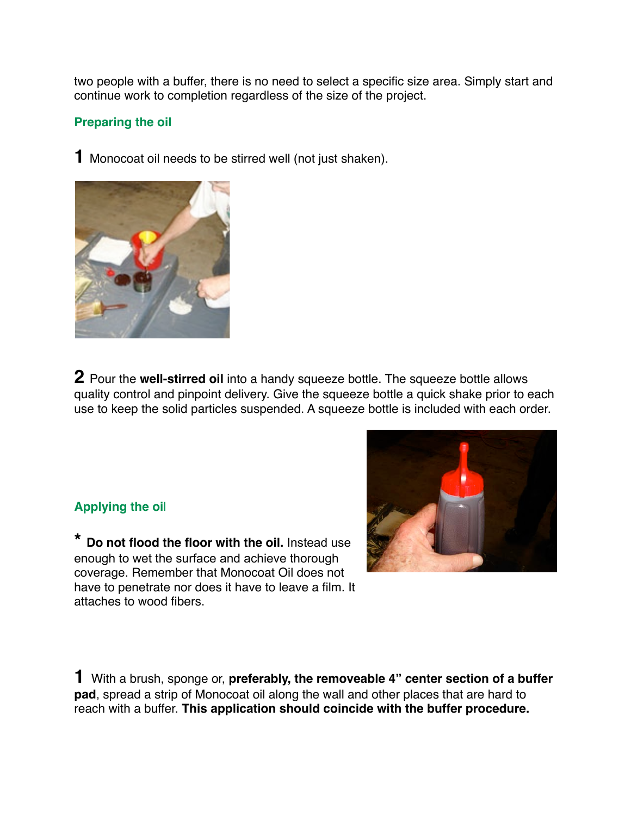two people with a buffer, there is no need to select a specific size area. Simply start and continue work to completion regardless of the size of the project.

#### **Preparing the oil Do not flood the floor with the oil. Instead, use an absolute minimum of oil,** just enough to

**1** Monocoat oil needs to be stirred well (not just shaken). **F** IVIOHOCOAL OIL HEEDS.



**2** Pour the well-stirred oil into a handy squeeze bottle. The squeeze bottle allows quality control and pinpoint delivery. Give the squeeze bottle a quick shake prior to each use to keep the solid particles suspended. A squeeze bottle is included with each order.

## **Applying the oi**l

**\* Do not flood the floor with the oil.** Instead use enough to wet the surface and achieve thorough coverage. Remember that Monocoat Oil does not have to penetrate nor does it have to leave a film. It attaches to wood fibers.



**1** With a brush, sponge or, **preferably, the removeable 4" center section of a buffer pad**, spread a strip of Monocoat oil along the wall and other places that are hard to reach with a buffer. **This application should coincide with the buffer procedure.**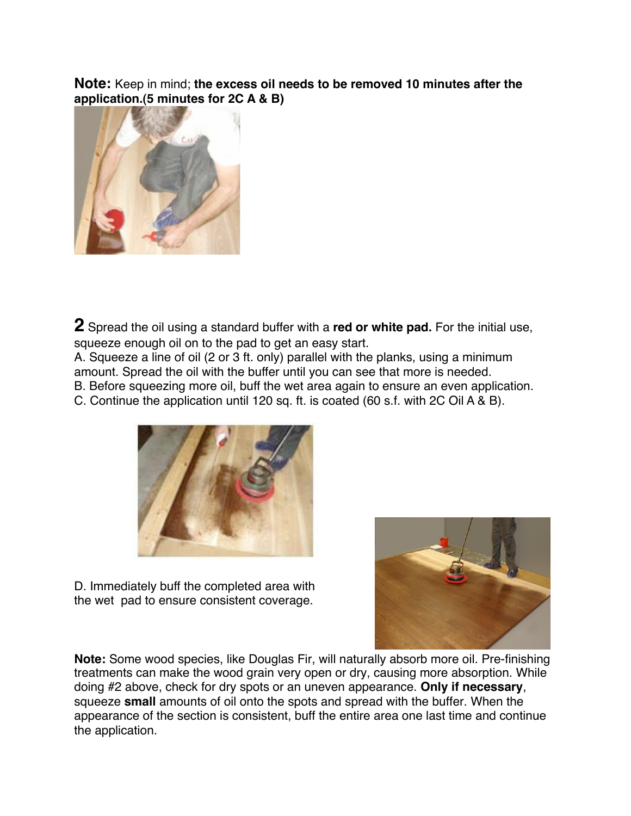**Note:** Keep in mind; **the excess oil needs to be removed 10 minutes after the application.(5 minutes for 2C A & B)**



**2** Spread the oil using a standard buffer with a **red or white pad.** For the initial use, squeeze enough oil on to the pad to get an easy start.

A. Squeeze a line of oil (2 or 3 ft. only) parallel with the planks, using a minimum amount. Spread the oil with the buffer until you can see that more is needed.

B. Before squeezing more oil, buff the wet area again to ensure an even application.

C. Continue the application until 120 sq. ft. is coated (60 s.f. with 2C Oil A & B).



D. Immediately buff the completed area with the wet pad to ensure consistent coverage.



**Note:** Some wood species, like Douglas Fir, will naturally absorb more oil. Pre-finishing treatments can make the wood grain very open or dry, causing more absorption. While doing #2 above, check for dry spots or an uneven appearance. **Only if necessary**, squeeze **small** amounts of oil onto the spots and spread with the buffer. When the appearance of the section is consistent, buff the entire area one last time and continue the application.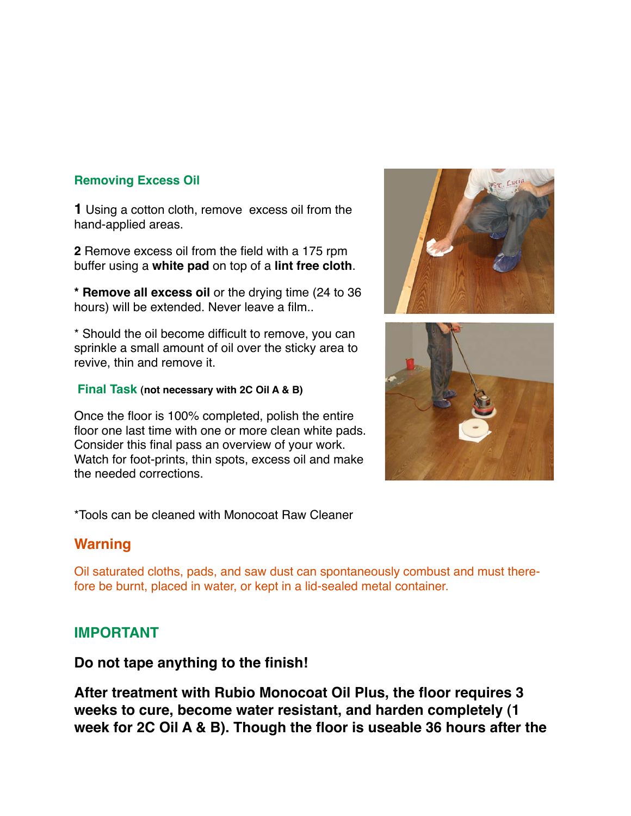## **Removing Excess Oil**

**1** Using a cotton cloth, remove excess oil from the hand-applied areas.

**2** Remove excess oil from the field with a 175 rpm buffer using a **white pad** on top of a **lint free cloth**.

**\* Remove all excess oil** or the drying time (24 to 36 hours) will be extended. Never leave a film..

\* Should the oil become difficult to remove, you can sprinkle a small amount of oil over the sticky area to revive, thin and remove it.

#### **Final Task (not necessary with 2C Oil A & B)**

Once the floor is 100% completed, polish the entire floor one last time with one or more clean white pads. Consider this final pass an overview of your work. Watch for foot-prints, thin spots, excess oil and make the needed corrections.

\*Tools can be cleaned with Monocoat Raw Cleaner

# **Warning**

Oil saturated cloths, pads, and saw dust can spontaneously combust and must therefore be burnt, placed in water, or kept in a lid-sealed metal container.

# **IMPORTANT**

**Do not tape anything to the finish!**

**After treatment with Rubio Monocoat Oil Plus, the floor requires 3 weeks to cure, become water resistant, and harden completely (1 week for 2C Oil A & B). Though the floor is useable 36 hours after the**